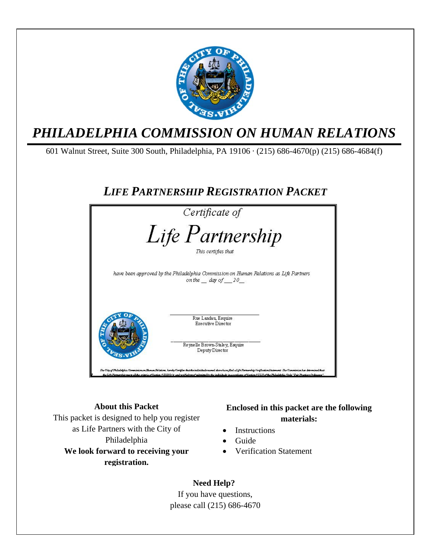

### *PHILADELPHIA COMMISSION ON HUMAN RELATIONS*

601 Walnut Street, Suite 300 South, Philadelphia, PA 19106 · (215) 686-4670(p) (215) 686-4684(f)

### *LIFE PARTNERSHIP REGISTRATION PACKET*



#### **About this Packet**  This packet is designed to help you register as Life Partners with the City of Philadelphia **We look forward to receiving your registration.**

#### **Enclosed in this packet are the following materials:**

- **Instructions**
- Guide
- Verification Statement

 **Need Help?**  If you have questions, please call (215) 686-4670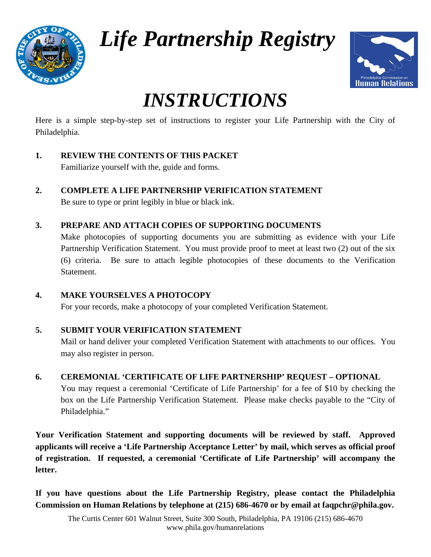

*Life Partnership Registry* 



## *INSTRUCTIONS*

Here is a simple step-by-step set of instructions to register your Life Partnership with the City of Philadelphia.

- **1. REVIEW THE CONTENTS OF THIS PACKET**  Familiarize yourself with the, guide and forms.
- **2. COMPLETE A LIFE PARTNERSHIP VERIFICATION STATEMENT**

Be sure to type or print legibly in blue or black ink.

#### **3. PREPARE AND ATTACH COPIES OF SUPPORTING DOCUMENTS**

Make photocopies of supporting documents you are submitting as evidence with your Life Partnership Verification Statement. You must provide proof to meet at least two (2) out of the six (6) criteria. Be sure to attach legible photocopies of these documents to the Verification Statement.

#### **4. MAKE YOURSELVES A PHOTOCOPY**

For your records, make a photocopy of your completed Verification Statement.

#### **5. SUBMIT YOUR VERIFICATION STATEMENT**

Mail or hand deliver your completed Verification Statement with attachments to our offices. You may also register in person.

#### **6. CEREMONIAL 'CERTIFICATE OF LIFE PARTNERSHIP' REQUEST – OPTIONAL**

You may request a ceremonial 'Certificate of Life Partnership' for a fee of \$10 by checking the box on the Life Partnership Verification Statement. Please make checks payable to the "City of Philadelphia."

**Your Verification Statement and supporting documents will be reviewed by staff. Approved applicants will receive a 'Life Partnership Acceptance Letter' by mail, which serves as official proof of registration. If requested, a ceremonial 'Certificate of Life Partnership' will accompany the letter.** 

**If you have questions about the Life Partnership Registry, please contact the Philadelphia Commission on Human Relations by telephone at (215) 686-4670 or by email at faqpchr@phila.gov.**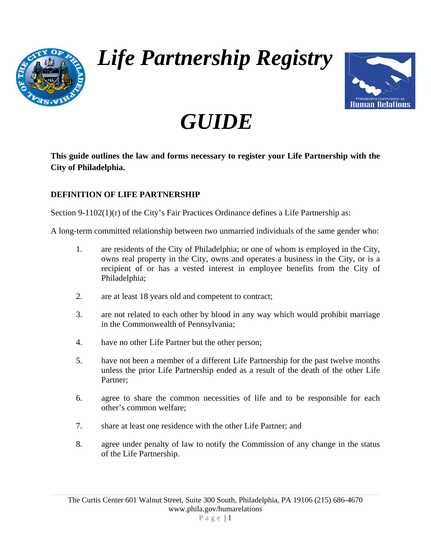

*Life Partnership Registry*



# *GUIDE*

**This guide outlines the law and forms necessary to register your Life Partnership with the City of Philadelphia.** 

#### **DEFINITION OF LIFE PARTNERSHIP**

Section 9-1102(1)(r) of the City's Fair Practices Ordinance defines a Life Partnership as:

A long-term committed relationship between two unmarried individuals of the same gender who:

- 1. are residents of the City of Philadelphia; or one of whom is employed in the City, owns real property in the City, owns and operates a business in the City, or is a recipient of or has a vested interest in employee benefits from the City of Philadelphia;
- 2. are at least 18 years old and competent to contract;
- 3. are not related to each other by blood in any way which would prohibit marriage in the Commonwealth of Pennsylvania;
- 4. have no other Life Partner but the other person;
- 5. have not been a member of a different Life Partnership for the past twelve months unless the prior Life Partnership ended as a result of the death of the other Life Partner;
- 6. agree to share the common necessities of life and to be responsible for each other's common welfare;
- 7. share at least one residence with the other Life Partner; and
- 8. agree under penalty of law to notify the Commission of any change in the status of the Life Partnership.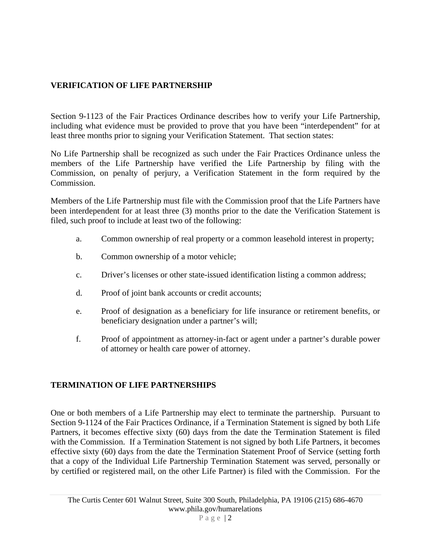#### **VERIFICATION OF LIFE PARTNERSHIP**

Section 9-1123 of the Fair Practices Ordinance describes how to verify your Life Partnership, including what evidence must be provided to prove that you have been "interdependent" for at least three months prior to signing your Verification Statement. That section states:

No Life Partnership shall be recognized as such under the Fair Practices Ordinance unless the members of the Life Partnership have verified the Life Partnership by filing with the Commission, on penalty of perjury, a Verification Statement in the form required by the Commission.

Members of the Life Partnership must file with the Commission proof that the Life Partners have been interdependent for at least three (3) months prior to the date the Verification Statement is filed, such proof to include at least two of the following:

- a. Common ownership of real property or a common leasehold interest in property;
- b. Common ownership of a motor vehicle;
- c. Driver's licenses or other state-issued identification listing a common address;
- d. Proof of joint bank accounts or credit accounts;
- e. Proof of designation as a beneficiary for life insurance or retirement benefits, or beneficiary designation under a partner's will;
- f. Proof of appointment as attorney-in-fact or agent under a partner's durable power of attorney or health care power of attorney.

#### **TERMINATION OF LIFE PARTNERSHIPS**

One or both members of a Life Partnership may elect to terminate the partnership. Pursuant to Section 9-1124 of the Fair Practices Ordinance, if a Termination Statement is signed by both Life Partners, it becomes effective sixty (60) days from the date the Termination Statement is filed with the Commission. If a Termination Statement is not signed by both Life Partners, it becomes effective sixty (60) days from the date the Termination Statement Proof of Service (setting forth that a copy of the Individual Life Partnership Termination Statement was served, personally or by certified or registered mail, on the other Life Partner) is filed with the Commission. For the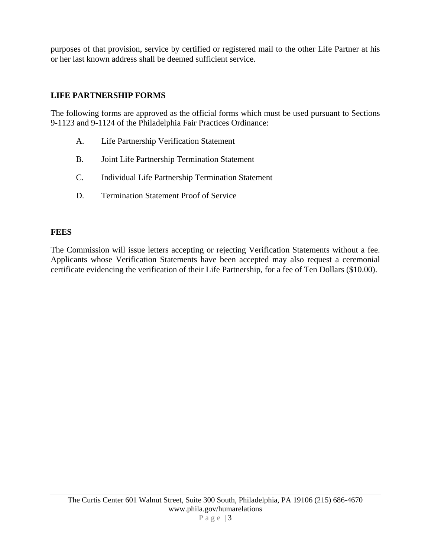purposes of that provision, service by certified or registered mail to the other Life Partner at his or her last known address shall be deemed sufficient service.

#### **LIFE PARTNERSHIP FORMS**

The following forms are approved as the official forms which must be used pursuant to Sections 9-1123 and 9-1124 of the Philadelphia Fair Practices Ordinance:

- A. Life Partnership Verification Statement
- B. Joint Life Partnership Termination Statement
- C. Individual Life Partnership Termination Statement
- D. Termination Statement Proof of Service

#### **FEES**

The Commission will issue letters accepting or rejecting Verification Statements without a fee. Applicants whose Verification Statements have been accepted may also request a ceremonial certificate evidencing the verification of their Life Partnership, for a fee of Ten Dollars (\$10.00).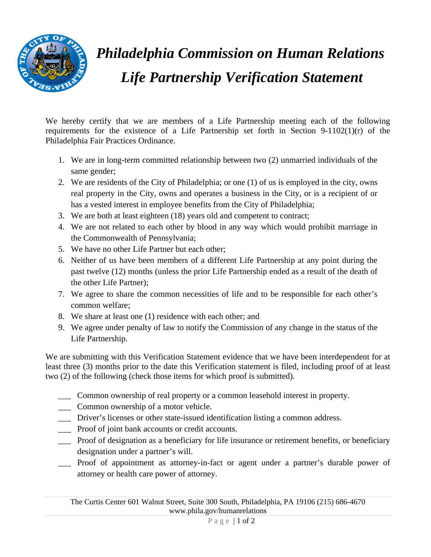

## *Philadelphia Commission on Human Relations Life Partnership Verification Statement*

We hereby certify that we are members of a Life Partnership meeting each of the following requirements for the existence of a Life Partnership set forth in Section 9-1102(1)(r) of the Philadelphia Fair Practices Ordinance.

- 1. We are in long-term committed relationship between two (2) unmarried individuals of the same gender;
- 2. We are residents of the City of Philadelphia; or one (1) of us is employed in the city, owns real property in the City, owns and operates a business in the City, or is a recipient of or has a vested interest in employee benefits from the City of Philadelphia;
- 3. We are both at least eighteen (18) years old and competent to contract;
- 4. We are not related to each other by blood in any way which would prohibit marriage in the Commonwealth of Pennsylvania;
- 5. We have no other Life Partner but each other;
- 6. Neither of us have been members of a different Life Partnership at any point during the past twelve (12) months (unless the prior Life Partnership ended as a result of the death of the other Life Partner);
- 7. We agree to share the common necessities of life and to be responsible for each other's common welfare;
- 8. We share at least one (1) residence with each other; and
- 9. We agree under penalty of law to notify the Commission of any change in the status of the Life Partnership.

We are submitting with this Verification Statement evidence that we have been interdependent for at least three (3) months prior to the date this Verification statement is filed, including proof of at least two (2) of the following (check those items for which proof is submitted).

- \_\_\_ Common ownership of real property or a common leasehold interest in property.
- \_\_\_ Common ownership of a motor vehicle.
- \_\_\_ Driver's licenses or other state-issued identification listing a common address.
- \_\_\_ Proof of joint bank accounts or credit accounts.
- \_\_\_ Proof of designation as a beneficiary for life insurance or retirement benefits, or beneficiary designation under a partner's will.
- \_\_\_ Proof of appointment as attorney-in-fact or agent under a partner's durable power of attorney or health care power of attorney.